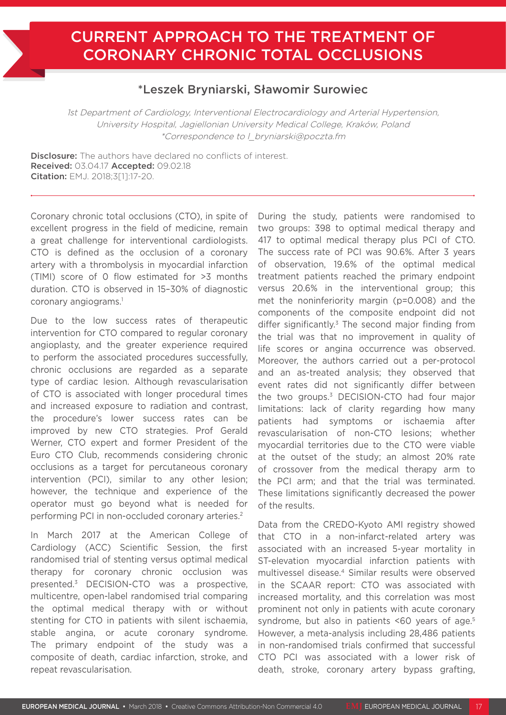## CURRENT APPROACH TO THE TREATMENT OF CORONARY CHRONIC TOTAL OCCLUSIONS

## \*Leszek Bryniarski, Sławomir Surowiec

1st Department of Cardiology, Interventional Electrocardiology and Arterial Hypertension, University Hospital, Jagiellonian University Medical College, Kraków, Poland \*Correspondence to l\_bryniarski@poczta.fm

Disclosure: The authors have declared no conflicts of interest. Received: 03.04.17 Accepted: 09.02.18 Citation: EMJ. 2018;3[1]:17-20.

Coronary chronic total occlusions (CTO), in spite of excellent progress in the field of medicine, remain a great challenge for interventional cardiologists. CTO is defined as the occlusion of a coronary artery with a thrombolysis in myocardial infarction (TIMI) score of 0 flow estimated for >3 months duration. CTO is observed in 15–30% of diagnostic coronary angiograms.<sup>1</sup>

Due to the low success rates of therapeutic intervention for CTO compared to regular coronary angioplasty, and the greater experience required to perform the associated procedures successfully, chronic occlusions are regarded as a separate type of cardiac lesion. Although revascularisation of CTO is associated with longer procedural times and increased exposure to radiation and contrast, the procedure's lower success rates can be improved by new CTO strategies. Prof Gerald Werner, CTO expert and former President of the Euro CTO Club, recommends considering chronic occlusions as a target for percutaneous coronary intervention (PCI), similar to any other lesion; however, the technique and experience of the operator must go beyond what is needed for performing PCI in non-occluded coronary arteries.2

In March 2017 at the American College of Cardiology (ACC) Scientific Session, the first randomised trial of stenting versus optimal medical therapy for coronary chronic occlusion was presented.3 DECISION-CTO was a prospective, multicentre, open-label randomised trial comparing the optimal medical therapy with or without stenting for CTO in patients with silent ischaemia, stable angina, or acute coronary syndrome. The primary endpoint of the study was a composite of death, cardiac infarction, stroke, and repeat revascularisation.

During the study, patients were randomised to two groups: 398 to optimal medical therapy and 417 to optimal medical therapy plus PCI of CTO. The success rate of PCI was 90.6%. After 3 years of observation, 19.6% of the optimal medical treatment patients reached the primary endpoint versus 20.6% in the interventional group; this met the noninferiority margin (p=0.008) and the components of the composite endpoint did not differ significantly. $3$  The second major finding from the trial was that no improvement in quality of life scores or angina occurrence was observed. Moreover, the authors carried out a per-protocol and an as-treated analysis; they observed that event rates did not significantly differ between the two groups.<sup>3</sup> DECISION-CTO had four major limitations: lack of clarity regarding how many patients had symptoms or ischaemia after revascularisation of non-CTO lesions; whether myocardial territories due to the CTO were viable at the outset of the study; an almost 20% rate of crossover from the medical therapy arm to the PCI arm; and that the trial was terminated. These limitations significantly decreased the power of the results.

Data from the CREDO-Kyoto AMI registry showed that CTO in a non-infarct-related artery was associated with an increased 5-year mortality in ST-elevation myocardial infarction patients with multivessel disease.4 Similar results were observed in the SCAAR report: CTO was associated with increased mortality, and this correlation was most prominent not only in patients with acute coronary syndrome, but also in patients <60 years of age.<sup>5</sup> However, a meta-analysis including 28,486 patients in non-randomised trials confirmed that successful CTO PCI was associated with a lower risk of death, stroke, coronary artery bypass grafting,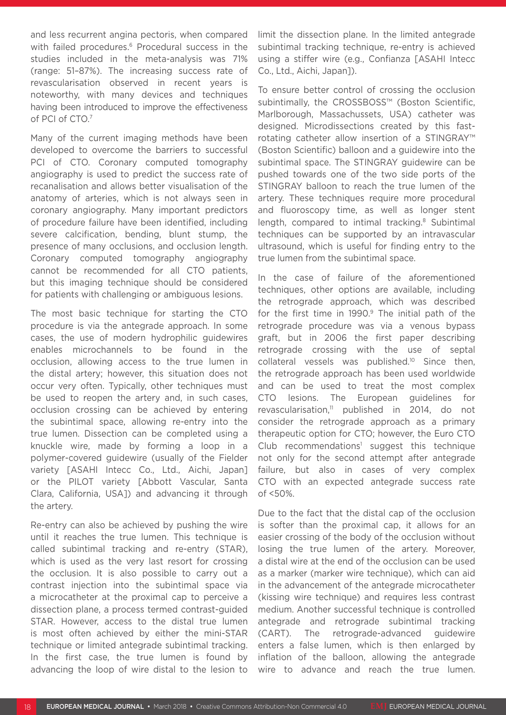and less recurrent angina pectoris, when compared with failed procedures.<sup>6</sup> Procedural success in the studies included in the meta-analysis was 71% (range: 51–87%). The increasing success rate of revascularisation observed in recent years is noteworthy, with many devices and techniques having been introduced to improve the effectiveness of PCI of CTO.7

Many of the current imaging methods have been developed to overcome the barriers to successful PCI of CTO. Coronary computed tomography angiography is used to predict the success rate of recanalisation and allows better visualisation of the anatomy of arteries, which is not always seen in coronary angiography. Many important predictors of procedure failure have been identified, including severe calcification, bending, blunt stump, the presence of many occlusions, and occlusion length. Coronary computed tomography angiography cannot be recommended for all CTO patients, but this imaging technique should be considered for patients with challenging or ambiguous lesions.

The most basic technique for starting the CTO procedure is via the antegrade approach. In some cases, the use of modern hydrophilic guidewires enables microchannels to be found in the occlusion, allowing access to the true lumen in the distal artery; however, this situation does not occur very often. Typically, other techniques must be used to reopen the artery and, in such cases, occlusion crossing can be achieved by entering the subintimal space, allowing re-entry into the true lumen. Dissection can be completed using a knuckle wire, made by forming a loop in a polymer-covered guidewire (usually of the Fielder variety [ASAHI Intecc Co., Ltd., Aichi, Japan] or the PILOT variety [Abbott Vascular, Santa Clara, California, USA]) and advancing it through the artery.

Re-entry can also be achieved by pushing the wire until it reaches the true lumen. This technique is called subintimal tracking and re-entry (STAR), which is used as the very last resort for crossing the occlusion. It is also possible to carry out a contrast injection into the subintimal space via a microcatheter at the proximal cap to perceive a dissection plane, a process termed contrast-guided STAR. However, access to the distal true lumen is most often achieved by either the mini-STAR technique or limited antegrade subintimal tracking. In the first case, the true lumen is found by advancing the loop of wire distal to the lesion to

limit the dissection plane. In the limited antegrade subintimal tracking technique, re-entry is achieved using a stiffer wire (e.g., Confianza [ASAHI Intecc Co., Ltd., Aichi, Japan]).

To ensure better control of crossing the occlusion subintimally, the CROSSBOSS™ (Boston Scientific, Marlborough, Massachussets, USA) catheter was designed. Microdissections created by this fastrotating catheter allow insertion of a STINGRAY™ (Boston Scientific) balloon and a guidewire into the subintimal space. The STINGRAY guidewire can be pushed towards one of the two side ports of the STINGRAY balloon to reach the true lumen of the artery. These techniques require more procedural and fluoroscopy time, as well as longer stent length, compared to intimal tracking.<sup>8</sup> Subintimal techniques can be supported by an intravascular ultrasound, which is useful for finding entry to the true lumen from the subintimal space.

In the case of failure of the aforementioned techniques, other options are available, including the retrograde approach, which was described for the first time in  $1990.9$  The initial path of the retrograde procedure was via a venous bypass graft, but in 2006 the first paper describing retrograde crossing with the use of septal collateral vessels was published.10 Since then, the retrograde approach has been used worldwide and can be used to treat the most complex CTO lesions. The European guidelines for revascularisation,<sup>11</sup> published in 2014, do not consider the retrograde approach as a primary therapeutic option for CTO; however, the Euro CTO Club recommendations<sup>1</sup> suggest this technique not only for the second attempt after antegrade failure, but also in cases of very complex CTO with an expected antegrade success rate of <50%.

Due to the fact that the distal cap of the occlusion is softer than the proximal cap, it allows for an easier crossing of the body of the occlusion without losing the true lumen of the artery. Moreover, a distal wire at the end of the occlusion can be used as a marker (marker wire technique), which can aid in the advancement of the antegrade microcatheter (kissing wire technique) and requires less contrast medium. Another successful technique is controlled antegrade and retrograde subintimal tracking (CART). The retrograde-advanced guidewire enters a false lumen, which is then enlarged by inflation of the balloon, allowing the antegrade wire to advance and reach the true lumen.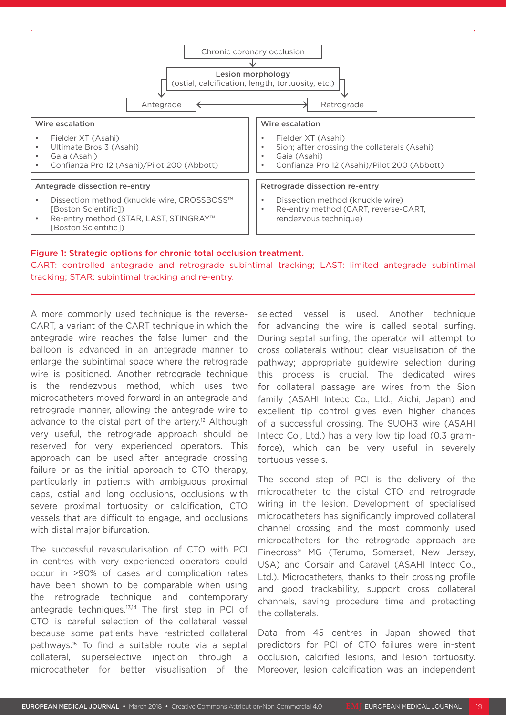

## Figure 1: Strategic options for chronic total occlusion treatment.

CART: controlled antegrade and retrograde subintimal tracking; LAST: limited antegrade subintimal tracking; STAR: subintimal tracking and re-entry.

A more commonly used technique is the reverse-CART, a variant of the CART technique in which the antegrade wire reaches the false lumen and the balloon is advanced in an antegrade manner to enlarge the subintimal space where the retrograde wire is positioned. Another retrograde technique is the rendezvous method, which uses two microcatheters moved forward in an antegrade and retrograde manner, allowing the antegrade wire to advance to the distal part of the artery.<sup>12</sup> Although very useful, the retrograde approach should be reserved for very experienced operators. This approach can be used after antegrade crossing failure or as the initial approach to CTO therapy, particularly in patients with ambiguous proximal caps, ostial and long occlusions, occlusions with severe proximal tortuosity or calcification, CTO vessels that are difficult to engage, and occlusions with distal major bifurcation.

The successful revascularisation of CTO with PCI in centres with very experienced operators could occur in >90% of cases and complication rates have been shown to be comparable when using the retrograde technique and contemporary antegrade techniques.13,14 The first step in PCI of CTO is careful selection of the collateral vessel because some patients have restricted collateral pathways.15 To find a suitable route via a septal collateral, superselective injection through a microcatheter for better visualisation of the

selected vessel is used. Another technique for advancing the wire is called septal surfing. During septal surfing, the operator will attempt to cross collaterals without clear visualisation of the pathway; appropriate guidewire selection during this process is crucial. The dedicated wires for collateral passage are wires from the Sion family (ASAHI Intecc Co., Ltd., Aichi, Japan) and excellent tip control gives even higher chances of a successful crossing. The SUOH3 wire (ASAHI Intecc Co., Ltd.) has a very low tip load (0.3 gramforce), which can be very useful in severely tortuous vessels.

The second step of PCI is the delivery of the microcatheter to the distal CTO and retrograde wiring in the lesion. Development of specialised microcatheters has significantly improved collateral channel crossing and the most commonly used microcatheters for the retrograde approach are Finecross® MG (Terumo, Somerset, New Jersey, USA) and Corsair and Caravel (ASAHI Intecc Co., Ltd.). Microcatheters, thanks to their crossing profile and good trackability, support cross collateral channels, saving procedure time and protecting the collaterals.

Data from 45 centres in Japan showed that predictors for PCI of CTO failures were in-stent occlusion, calcified lesions, and lesion tortuosity. Moreover, lesion calcification was an independent